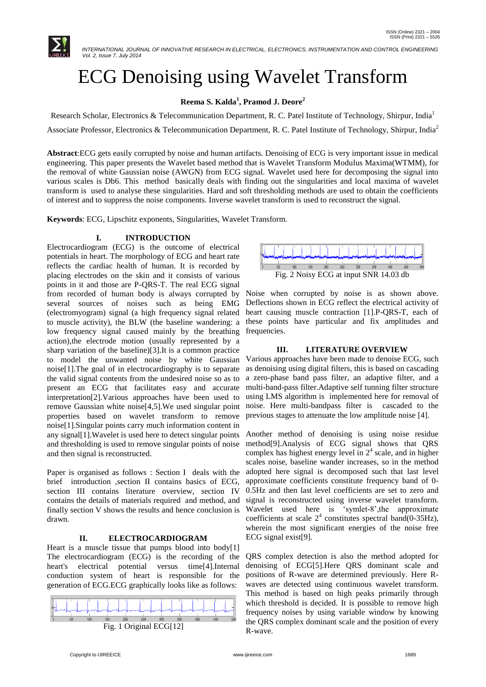

 *INTERNATIONAL JOURNAL OF INNOVATIVE RESEARCH IN ELECTRICAL, ELECTRONICS, INSTRUMENTATION AND CONTROL ENGINEERING Vol. 2, Issue 7, July 2014*

# ECG Denoising using Wavelet Transform

#### **Reema S. Kalda<sup>1</sup> , Pramod J. Deore<sup>2</sup>**

Research Scholar, Electronics & Telecommunication Department, R. C. Patel Institute of Technology, Shirpur, India<sup>1</sup> Associate Professor, Electronics & Telecommunication Department, R. C. Patel Institute of Technology, Shirpur, India<sup>2</sup>

**Abstract**:ECG gets easily corrupted by noise and human artifacts. Denoising of ECG is very important issue in medical engineering. This paper presents the Wavelet based method that is Wavelet Transform Modulus Maxima(WTMM), for the removal of white Gaussian noise (AWGN) from ECG signal. Wavelet used here for decomposing the signal into various scales is Db6. This method basically deals with finding out the singularities and local maxima of wavelet transform is used to analyse these singularities. Hard and soft thresholding methods are used to obtain the coefficients of interest and to suppress the noise components. Inverse wavelet transform is used to reconstruct the signal.

**Keywords**: ECG, Lipschitz exponents, Singularities, Wavelet Transform.

#### **I. INTRODUCTION**

Electrocardiogram (ECG) is the outcome of electrical potentials in heart. The morphology of ECG and heart rate reflects the cardiac health of human. It is recorded by placing electrodes on the skin and it consists of various points in it and those are P-QRS-T. The real ECG signal from recorded of human body is always corrupted by several sources of noises such as being EMG (electromyogram) signal (a high frequency signal related to muscle activity), the BLW (the baseline wandering: a low frequency signal caused mainly by the breathing action),the electrode motion (usually represented by a sharp variation of the baseline)[3].It is a common practice to model the unwanted noise by white Gaussian noise[1].The goal of in electrocardiography is to separate the valid signal contents from the undesired noise so as to present an ECG that facilitates easy and accurate interpretation[2].Various approaches have been used to remove Gaussian white noise[4,5].We used singular point properties based on wavelet transform to remove noise[1].Singular points carry much information content in any signal[1].Wavelet is used here to detect singular points and thresholding is used to remove singular points of noise and then signal is reconstructed.

Paper is organised as follows : Section I deals with the brief introduction ,section II contains basics of ECG, section III contains literature overview, section IV contains the details of materials required and method, and finally section V shows the results and hence conclusion is drawn.

#### **II. ELECTROCARDIOGRAM**

Heart is a muscle tissue that pumps blood into body[1] The electrocardiogram (ECG) is the recording of the heart's electrical potential versus time[4].Internal conduction system of heart is responsible for the generation of ECG.ECG graphically looks like as follows:





Noise when corrupted by noise is as shown above. Deflections shown in ECG reflect the electrical activity of heart causing muscle contraction [1].P-QRS-T, each of these points have particular and fix amplitudes and frequencies.

#### **III. LITERATURE OVERVIEW**

Various approaches have been made to denoise ECG, such as denoising using digital filters, this is based on cascading a zero-phase band pass filter, an adaptive filter, and a multi-band-pass filter.Adaptive self tunning filter structure using LMS algorithm is implemented here for removal of noise. Here multi-bandpass filter is cascaded to the previous stages to attenuate the low amplitude noise [4].

Another method of denoising is using noise residue method[9].Analysis of ECG signal shows that QRS complex has highest energy level in  $2<sup>4</sup>$  scale, and in higher scales noise, baseline wander increases, so in the method adopted here signal is decomposed such that last level approximate coefficients constitute frequency band of 0- 0.5Hz and then last level coefficients are set to zero and signal is reconstructed using inverse wavelet transform. Wavelet used here is 'symlet-8',the approximate coefficients at scale  $2^4$  constitutes spectral band(0-35Hz), wherein the most significant energies of the noise free ECG signal exist[9].

QRS complex detection is also the method adopted for denoising of ECG[5].Here QRS dominant scale and positions of R-wave are determined previously. Here Rwaves are detected using continuous wavelet transform. This method is based on high peaks primarily through which threshold is decided. It is possible to remove high frequency noises by using variable window by knowing the QRS complex dominant scale and the position of every R-wave.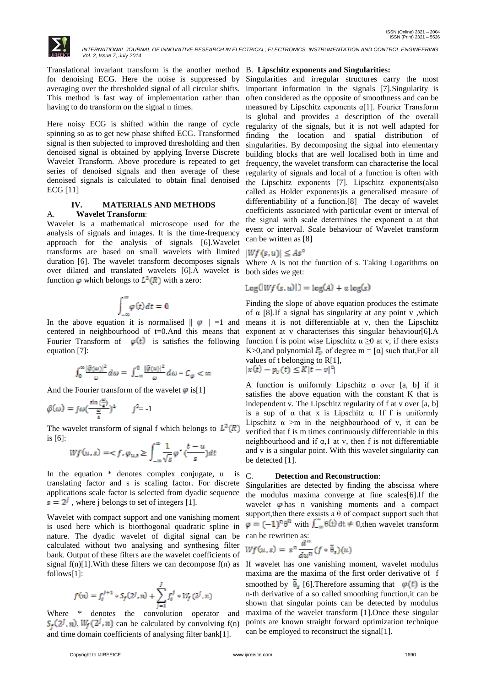

Translational invariant transform is the another method B. **Lipschitz exponents and Singularities:** for denoising ECG. Here the noise is suppressed by averaging over the thresholded signal of all circular shifts. This method is fast way of implementation rather than having to do transform on the signal n times.

Here noisy ECG is shifted within the range of cycle spinning so as to get new phase shifted ECG. Transformed signal is then subjected to improved thresholding and then denoised signal is obtained by applying Inverse Discrete Wavelet Transform. Above procedure is repeated to get series of denoised signals and then average of these denoised signals is calculated to obtain final denoised ECG [11]

## **IV. MATERIALS AND METHODS**

#### A. **Wavelet Transform**:

Wavelet is a mathematical microscope used for the analysis of signals and images. It is the time-frequency approach for the analysis of signals [6].Wavelet transforms are based on small wavelets with limited duration [6]. The wavelet transform decomposes signals over dilated and translated wavelets [6].A wavelet is function  $\varphi$  which belongs to  $L^2(R)$  with a zero:

$$
\int_{-\infty}^{\infty} \varphi(t) dt = 0
$$

In the above equation it is normalised  $||\varphi|| = 1$  and centered in neighbourhood of t=0.And this means that Fourier Transform of  $\varphi(t)$  is satisfies the following equation [7]:

$$
\int_0^\infty \frac{|\widehat{\varphi}(\omega)|^2}{\omega}\,d\omega = \int_{-\infty}^0 \frac{|\widehat{\varphi}(\omega)|^2}{\omega}\,d\omega = C_\varphi < \infty
$$

And the Fourier transform of the wavelet  $\varphi$  is[1]

$$
\hat{\varphi}(\omega) = j\omega \left(\frac{\sin\left(\frac{\omega}{4}\right)}{\frac{\omega}{4}}\right)^4 \qquad j^2 = -1
$$

The wavelet transform of signal f which belongs to  $L^2(R)$ is [6]:

$$
Wf(u,s) = \langle f, \varphi_{u,s} \ge \int_{-\infty}^{\infty} \frac{1}{\sqrt{s}} \varphi^* \left( \frac{t-u}{s} \right) dt
$$

In the equation \* denotes complex conjugate, u is translating factor and s is scaling factor. For discrete applications scale factor is selected from dyadic sequence  $s = 2^{j}$ , where j belongs to set of integers [1].

Wavelet with compact support and one vanishing moment is used here which is biorthogonal quadratic spline in nature. The dyadic wavelet of digital signal can be calculated without two analysing and synthesing filter bank. Output of these filters are the wavelet coefficients of signal  $f(n)[1]$ . With these filters we can decompose  $f(n)$  as If wavelet has one vanishing moment, wavelet modulus follows[1]:

$$
f(n) = f_s^{j+1} * S_f(2^j, n) + \sum_{j=1}^J f_s^j * W_j(2^j, n)
$$

Where \* denotes the convolution operator and  $S_f(2^l, n)$ ,  $W_f(2^l, n)$  can be calculated by convolving f(n) and time domain coefficients of analysing filter bank[1].

Singularities and irregular structures carry the most important information in the signals [7].Singularity is often considered as the opposite of smoothness and can be measured by Lipschitz exponents  $\alpha$ [1]. Fourier Transform is global and provides a description of the overall regularity of the signals, but it is not well adapted for finding the location and spatial distribution of singularities. By decomposing the signal into elementary building blocks that are well localised both in time and frequency, the wavelet transform can characterise the local regularity of signals and local of a function is often with the Lipschitz exponents [7]. Lipschitz exponents(also called as Holder exponents)is a generalised measure of differentiability of a function.[8] The decay of wavelet coefficients associated with particular event or interval of the signal with scale determines the exponent  $\alpha$  at that event or interval. Scale behaviour of Wavelet transform can be written as [8]

#### $|Wf(s, u)| \leq As^{\alpha}$

Where A is not the function of s. Taking Logarithms on both sides we get:

#### $Log($ [*Wf*  $(s, u)$ ] =  $log(A) + \alpha log(s)$

Finding the slope of above equation produces the estimate of  $\alpha$  [8]. If a signal has singularity at any point v, which means it is not differentiable at v, then the Lipschitz exponent at v characterises this singular behaviour[6].A function f is point wise Lipschitz  $\alpha \geq 0$  at v, if there exists K>0,and polynomial  $P_{\nu}$  of degree m = [ $\alpha$ ] such that, For all values of t belonging to R[1], |

$$
|x(t)-p_v(t)| \leq K|t-v|^\alpha
$$

A function is uniformly Lipschitz  $\alpha$  over [a, b] if it satisfies the above equation with the constant K that is independent v. The Lipschitz regularity of f at v over [a, b] is a sup of  $\alpha$  that x is Lipschitz  $\alpha$ . If f is uniformly Lipschitz  $\alpha$  >m in the neighbourhood of v, it can be verified that f is m times continuously differentiable in this neighbourhood and if  $\alpha$ , 1 at v, then f is not differentiable and v is a singular point. With this wavelet singularity can be detected [1].

#### C. **Detection and Reconstruction**:

Singularities are detected by finding the abscissa where the modulus maxima converge at fine scales[6].If the wavelet  $\varphi$  has n vanishing moments and a compact support, then there exsists a  $\theta$  of compact support such that  $\varphi = (-1)^n \theta^n$  with  $\int_{-\infty}^{\infty} \theta(t) dt \neq 0$ , then wavelet transform can be rewritten as:

$$
Wf(u,s) = s^n \frac{a^n}{du^n} (f * \overline{\theta}_s)(u)
$$

maxima are the maxima of the first order derivative of f smoothed by  $\overline{\theta}_s$  [6]. Therefore assuming that  $\varphi(t)$  is the n-th derivative of a so called smoothing function,it can be shown that singular points can be detected by modulus maxima of the wavelet transform [1].Once these singular points are known straight forward optimization technique can be employed to reconstruct the signal[1].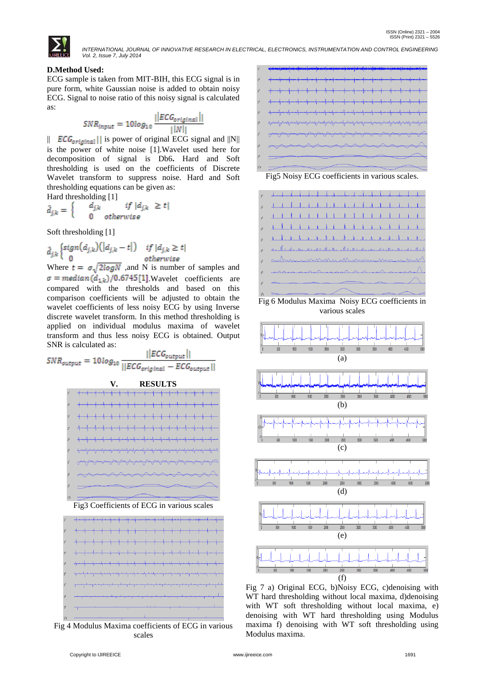

 *INTERNATIONAL JOURNAL OF INNOVATIVE RESEARCH IN ELECTRICAL, ELECTRONICS, INSTRUMENTATION AND CONTROL ENGINEERING Vol. 2, Issue 7, July 2014*

#### **D.Method Used:**

ECG sample is taken from MIT-BIH, this ECG signal is in pure form, white Gaussian noise is added to obtain noisy ECG. Signal to noise ratio of this noisy signal is calculated as:

$$
SNR_{input} = 10log_{10} \frac{||ECG_{original}||}{||N||}
$$

||  $EG_{original}$ || is power of original ECG signal and  $||N||$ is the power of white noise [1].Wavelet used here for decomposition of signal is Db6**.** Hard and Soft thresholding is used on the coefficients of Discrete Wavelet transform to suppress noise. Hard and Soft thresholding equations can be given as: Hard thresholding [1]

$$
\hat{d}_{j,k} = \begin{cases}\n\frac{d_{j,k}}{dt} & \text{if } |d_{j,k}| \ge t \\
0 & \text{otherwise}\n\end{cases}
$$

Soft thresholding [1]

$$
\hat{d}_{j,k} \begin{cases} sign(d_{j,k})\left(|d_{j,k} - t|\right) & \text{if } |d_{j,k} \ge t| \\ 0 & \text{otherwise} \end{cases}
$$

Where  $t = \sigma \sqrt{2 \log N}$ , and N is number of samples and  $\sigma = \text{median}(d_{1,k})/0.6745[1]$  Wavelet coefficients are compared with the thresholds and based on this comparison coefficients will be adjusted to obtain the wavelet coefficients of less noisy ECG by using Inverse discrete wavelet transform. In this method thresholding is applied on individual modulus maxima of wavelet transform and thus less noisy ECG is obtained. Output SNR is calculated as:

$$
SNR_{output} = 10 log_{10} \frac{||ECG_{output}||}{||ECG_{original} - ECG_{output}||}
$$







Fig 4 Modulus Maxima coefficients of ECG in various scales



Fig5 Noisy ECG coefficients in various scales.



Fig 6 Modulus Maxima Noisy ECG coefficients in various scales



Fig 7 a) Original ECG, b)Noisy ECG, c)denoising with WT hard thresholding without local maxima, d)denoising with WT soft thresholding without local maxima, e) denoising with WT hard thresholding using Modulus maxima f) denoising with WT soft thresholding using Modulus maxima.